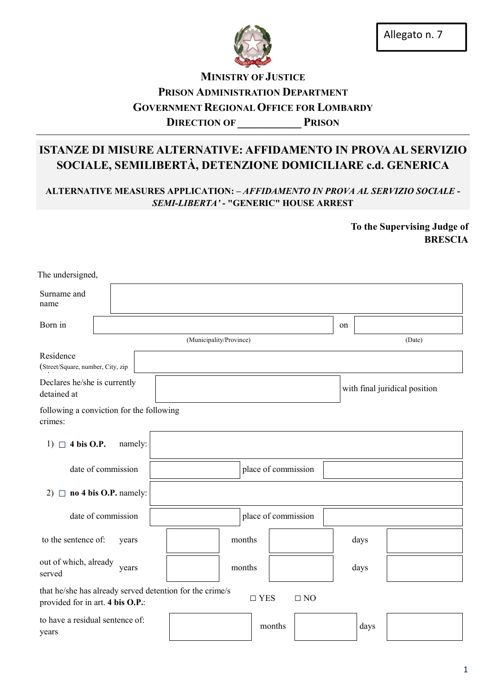

## **MINISTRY OF JUSTICE** PRISON ADMINISTRATION DEPARTMENT GOVERNMENT REGIONAL OFFICE FOR LOMBARDY DIRECTION OF PRISON

# ISTANZE DI MISURE ALTERNATIVE: AFFIDAMENTO IN PROVA AL SERVIZIO SOCIALE, SEMILIBERTÀ, DETENZIONE DOMICILIARE c.d. GENERICA

ALTERNATIVE MEASURES APPLICATION: – *AFFIDAMENTO IN PROVA AL SERVIZIO SOCIALE* - *SEMI-LIBERTA'* - "GENERIC" HOUSE ARREST

> To the Supervising Judge of BRESCIA

| The undersigned,                                                                             |                    |         |  |                         |  |        |                     |                               |    |      |        |  |
|----------------------------------------------------------------------------------------------|--------------------|---------|--|-------------------------|--|--------|---------------------|-------------------------------|----|------|--------|--|
| Surname and<br>name                                                                          |                    |         |  |                         |  |        |                     |                               |    |      |        |  |
| Born in                                                                                      |                    |         |  |                         |  |        |                     |                               | on |      |        |  |
|                                                                                              |                    |         |  | (Municipality/Province) |  |        |                     |                               |    |      | (Date) |  |
| Residence<br>(Street/Square, number, City, zip                                               |                    |         |  |                         |  |        |                     |                               |    |      |        |  |
| Declares he/she is currently<br>detained at                                                  |                    |         |  |                         |  |        |                     | with final juridical position |    |      |        |  |
| following a conviction for the following<br>crimes:                                          |                    |         |  |                         |  |        |                     |                               |    |      |        |  |
| 1) $\Box$ 4 bis O.P.                                                                         |                    | namely: |  |                         |  |        |                     |                               |    |      |        |  |
|                                                                                              | date of commission |         |  |                         |  |        | place of commission |                               |    |      |        |  |
| 2) $\Box$ <b>no 4 bis O.P.</b> namely:                                                       |                    |         |  |                         |  |        |                     |                               |    |      |        |  |
|                                                                                              | date of commission |         |  |                         |  |        | place of commission |                               |    |      |        |  |
| to the sentence of:                                                                          |                    | years   |  |                         |  | months |                     |                               |    | days |        |  |
| out of which, already<br>served                                                              |                    | years   |  |                         |  | months |                     |                               |    | days |        |  |
| that he/she has already served detention for the crime/s<br>provided for in art. 4 bis O.P.: |                    |         |  |                         |  |        | $\square$ YES       | $\Box$ NO                     |    |      |        |  |
| to have a residual sentence of:<br>years                                                     |                    |         |  |                         |  |        | months              |                               |    | days |        |  |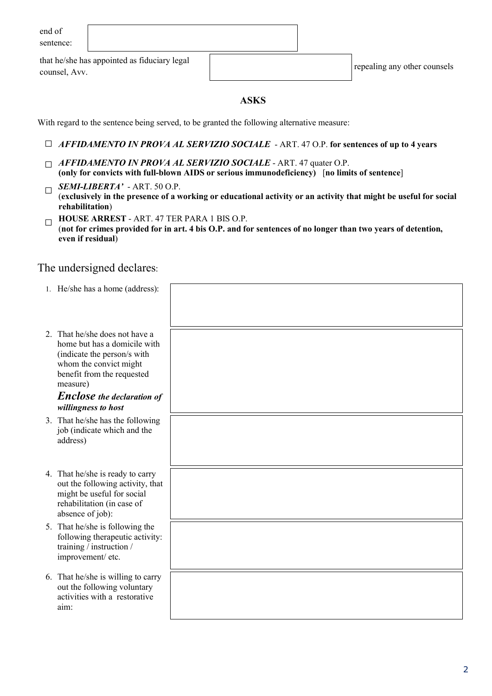| end of    |
|-----------|
| sentence: |

that he/she has appointed as fiduciary legal counsel, Avv. repeating any other counsels counsel.

### ASKS

With regard to the sentence being served, to be granted the following alternative measure:

- □ *AFFIDAMENTO IN PROVA AL SERVIZIO SOCIALE* ART. 47 O.P. for sentences of up to 4 years
- □ *AFFIDAMENTO IN PROVA AL SERVIZIO SOCIALE* ART. 47 quater O.P. (only for convicts with full-blown AIDS or serious immunodeficiency) [no limits of sentence]
- $\Box$  **SEMI-LIBERTA'** ART. 50 O.P. (exclusively in the presence of a working or educational activity or an activity that might be useful for social rehabilitation)
- $\Box$  HOUSE ARREST ART. 47 TER PARA 1 BIS O.P. (not for crimes provided for in art. 4 bis O.P. and for sentences of no longer than two years of detention, even if residual)

## The undersigned declares:

| 1. He/she has a home (address):                                                                                                                                                                                               |  |
|-------------------------------------------------------------------------------------------------------------------------------------------------------------------------------------------------------------------------------|--|
| 2. That he/she does not have a<br>home but has a domicile with<br>(indicate the person/s with<br>whom the convict might<br>benefit from the requested<br>measure)<br><b>Enclose</b> the declaration of<br>willingness to host |  |
| 3. That he/she has the following<br>job (indicate which and the<br>address)                                                                                                                                                   |  |
| 4. That he/she is ready to carry<br>out the following activity, that<br>might be useful for social<br>rehabilitation (in case of<br>absence of job):                                                                          |  |
| 5. That he/she is following the<br>following therapeutic activity:<br>training / instruction /<br>improvement/ etc.                                                                                                           |  |
| 6. That he/she is willing to carry<br>out the following voluntary<br>activities with a restorative<br>aim:                                                                                                                    |  |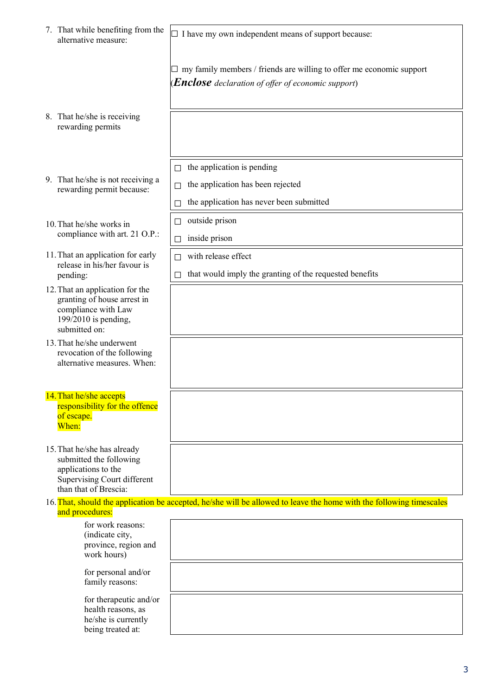| 7. That while benefiting from the<br>alternative measure: |                                                                                                                                              | $\Box$ I have my own independent means of support because:                                                                        |  |  |  |  |  |
|-----------------------------------------------------------|----------------------------------------------------------------------------------------------------------------------------------------------|-----------------------------------------------------------------------------------------------------------------------------------|--|--|--|--|--|
|                                                           |                                                                                                                                              | my family members / friends are willing to offer me economic support<br><b>(Enclose</b> declaration of offer of economic support) |  |  |  |  |  |
|                                                           | 8. That he/she is receiving<br>rewarding permits                                                                                             |                                                                                                                                   |  |  |  |  |  |
|                                                           |                                                                                                                                              | the application is pending<br>$\Box$                                                                                              |  |  |  |  |  |
|                                                           | 9. That he/she is not receiving a<br>rewarding permit because:                                                                               | the application has been rejected                                                                                                 |  |  |  |  |  |
|                                                           |                                                                                                                                              | the application has never been submitted                                                                                          |  |  |  |  |  |
| 10. That he/she works in                                  |                                                                                                                                              | outside prison<br>$\Box$                                                                                                          |  |  |  |  |  |
|                                                           | compliance with art. 21 O.P.:                                                                                                                | inside prison<br>П                                                                                                                |  |  |  |  |  |
|                                                           | 11. That an application for early<br>release in his/her favour is                                                                            | with release effect                                                                                                               |  |  |  |  |  |
|                                                           | pending:                                                                                                                                     | that would imply the granting of the requested benefits                                                                           |  |  |  |  |  |
|                                                           | 12. That an application for the<br>granting of house arrest in<br>compliance with Law<br>199/2010 is pending,<br>submitted on:               |                                                                                                                                   |  |  |  |  |  |
|                                                           | 13. That he/she underwent<br>revocation of the following<br>alternative measures. When:                                                      |                                                                                                                                   |  |  |  |  |  |
|                                                           | 14. That he/she accepts<br>responsibility for the offence<br>of escape.<br>When:                                                             |                                                                                                                                   |  |  |  |  |  |
|                                                           | 15. That he/she has already<br>submitted the following<br>applications to the<br><b>Supervising Court different</b><br>than that of Brescia: |                                                                                                                                   |  |  |  |  |  |
| and procedures:                                           |                                                                                                                                              | 16. That, should the application be accepted, he/she will be allowed to leave the home with the following timescales              |  |  |  |  |  |
|                                                           | for work reasons:<br>(indicate city,<br>province, region and<br>work hours)                                                                  |                                                                                                                                   |  |  |  |  |  |
|                                                           | for personal and/or<br>family reasons:                                                                                                       |                                                                                                                                   |  |  |  |  |  |
|                                                           | for therapeutic and/or<br>health reasons, as<br>he/she is currently<br>being treated at:                                                     |                                                                                                                                   |  |  |  |  |  |